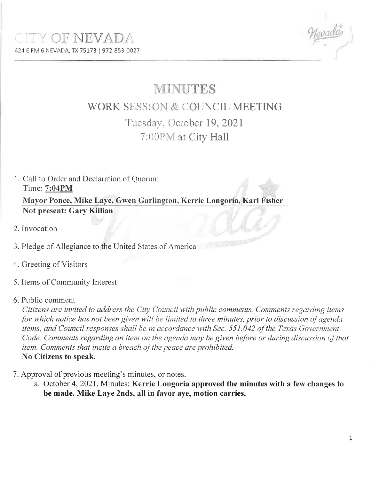## **MINUTES**

## **WORK SESSION & COUNCIL MEETING** Tuesday, October 19, 2021 7:00PM at City Hall

- 1. Call to Order and Declaration of Quorum Time: 7:04PM Mayor Ponce, Mike Laye, Gwen Garlington, Kerrie Longoria, Karl Fisher **Not present: Gary Killian**
- 2. Invocation
- 3. Pledge of Allegiance to the United States of America
- 4. Greeting of Visitors
- 5. Items of Community Interest
- 6. Public comment

Citizens are invited to address the City Council with public comments. Comments regarding items for which notice has not been given will be limited to three minutes, prior to discussion of agenda items, and Council responses shall be in accordance with Sec. 551.042 of the Texas Government Code. Comments regarding an item on the agenda may be given before or during discussion of that item. Comments that incite a breach of the peace are prohibited. No Citizens to speak.

- 7. Approval of previous meeting's minutes, or notes.
	- a. October 4, 2021, Minutes: Kerrie Longoria approved the minutes with a few changes to be made. Mike Laye 2nds, all in favor aye, motion carries.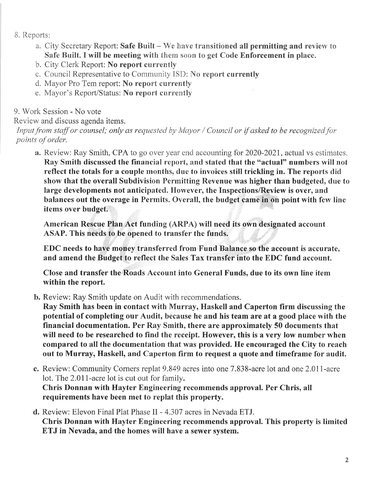- B. Reports:
	- a. City Secretary Report: Safe Built We have transitioned all permitting and review to Safe Built. I will be meeting with thern soon to get Code Enforcement in place.
	- b. City Clerk Report: No report currently
	- c. Council Representative to Community ISD: No report currently
	- d. Mayor Pro Tem report: No report currently
	- e. Mayor's Report/Status: No report currentiy

9. Work Session - No vote

Review and discuss agenda items.

Input from staff or counsel; only as requested by Mayor / Council or if asked to be recognized for points of order.

a. Review: Ray Smith, CPA to go over year end accounting for 2020-2021, actual vs estimates. Ray Smith discussed the financial report, and stated that the "actual" numbers will not reflect the totals for a couple months, due to invoices still trickling in. The reports did show that the overall Subdivision Permitting Revenue was higher than budgeted, due to large developments not anticipated. However, the Inspections/Review is over, and balances out the overage in Permits. Overall, the budget came in on point with few line items over budget.

American Rescue Plan Act funding (ARPA) witl need its own designated account ASAP. This needs to be opened to transfer the funds.

BDC needs to have money transferred from Fund Balance so the account is accurate, and amend the Budget to reflect the Sales Tax transfer into the EDC fund account.

Close and transfer the Roads Account into General Funds, due to its own line item within the report.

b. Review: Ray Smith update on Audit with recommendations.

Ray Smith has been in contact with Murray, Haskell and Caperton firm discussing the potential of completing our Audit, because he and his team are at a good place with the financial documentation. Per Ray Smith, there are approximately 50 documents that will need to be researched to find the receipt. However, this is a very low number when compared to all the documentation that was provided. He encouraged the City to reach out to Murray, Haskell, and Caperton firm to request a quote and timeframe for audit.

- c. Review: Community Corners replat 9.849 acres into one 7.838-acre lot and one 2.011-acre lot. The 2.011-acre lot is cut out for family. Chris Donnan with Hayter Engineering recommends approval. Per Chris, all requirements have been met to replat this property.
- d. Review: Elevon Final Plat Phase II 4.307 acres in Nevada ETJ. Chris Donnan with Hayter Engineering recommends approval. This property is limited ETJ in Nevada, and the homes will have a sewer system.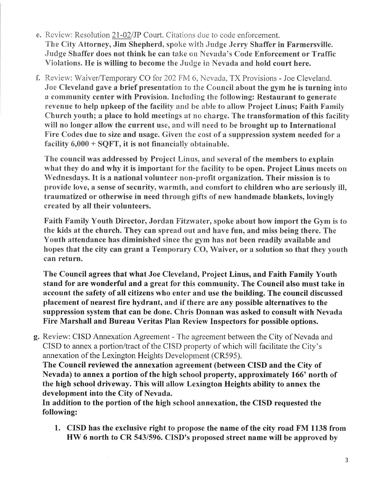- e. Review: Resolution 21-02/JP Court. Citations due to code enforcement. The City Attorney, Jim Shepherd, spoke with Judge Jerry Shaffer in Farmersville. Judge Shaffer does not think he can take on Nevada's Code Enforcement or Traffic Violations. He is willing to become the Judge in Nevada and hold court here.
- f. Review: Waiver/Temporary CO for 202FM 6, Nevada, TX Provisions Joe Cleveland. Joe Cleveland gave a brief presentation to the Council about the gym he is turning into a community center with Provision. Including the following: Restaurant to generate revenue to help upkeep of the facility and be able to allow Project Linus; Faith Family Church youth; a place to hold meetings at no charge. The transformation of this facility will no longer allow the current use, and will need to be brought up to International Fire Codes due to size and usage. Given the cost of a suppression system needed for a facility  $6,000 +$  SQFT, it is not financially obtainable.

The council was addressed by Project Linus, and several of the members to explain what they do and why it is important for the facility to be open. Project Linus meets on 'Wednesdays. It is a national volunteer non-profit organization. Their mission is to provide love, a sense of security, warmth, and comfort to children who are seriously ill, traumatized or otherwise in need through gifts of new handmade blankets, lovingly created by all their volunteers.

Faith Family Youth Director, Jordan Fitzwater, spoke about how import the Gym is to the kids at the church. They can spread out and have fun, and miss being there. The Youth attendance has diminished since the gym has not been readily available and hopes that the city can grant a Temporary CO, Waiver, or a solution so that they youth can return.

The Council agrees that what Joe Cleveland, Project Linus, and Faith Family Youth stand for are wonderful and a great for this community. The Council also must take in account the safety of all citizens who enter and use the building. The council discussed placement of nearest fire hydrant, and if there are any possible alternatives to the suppression system that can be done. Chris Donnan was asked to consult with Nevada Fire Marshall and Bureau Veritas Plan Review Inspectors for possible options.

g. Review: CISD Annexation Agreement - The agreement between the City of Nevada and CISD to annex a portion/tract of the CISD property of which will facilitate the City's annexation of the Lexington Heights Development (CR595).

The Council reviewed the annexation agreement (between CISD and the City of Nevada) to annex a portion of the high school properfy, approximately 166' north of the high school driveway. This will allow Lexington Heights ability to annex the development into the City of Nevada.

In addition to the portion of the high school annexation, the CISD requested the following:

1. CISD has the exclusive right to propose the name of the city road FM 1138 from HW 6 north to CR 543/596. CISD's proposed street name will be approved by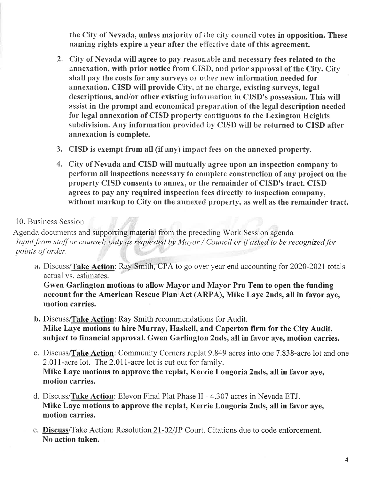the City of Nevada, unless majority of the city council votes in opposition. These naming rights expire a year after the effective date of this agreement.

- 2. City of Nevada will agree to pay reasonable and necessary fees related to the annexation, with prior notice from CISÐ, and prior approval of the Cify. Cify shall pay the costs for any surveys or other new information needed for annexation. CISD will provide City, at no charge, existing surveys, legal descriptions, and/or other existing information in CISD's possession. This will assist in the prompt and economical preparation of the legal description needed for legal annexation of CISD property contiguous to the Lexington Heights subdivision. Any information provided by CISD will be returned to CISD after annexation is complete.
- 3. CISD is exempt from all (if any) impact fees on the annexed property.
- 4. Cify of Nevada and CISD will mutually agree upon an inspection company to perform all inspections necessary to complete construction of any project on the property CISD consents to annex, or the remainder of CISD's tract. CISD agrees to pay any required inspection fees directly to inspection company, without markup to City on the annexed property, as well as the remainder tract.

## 10. Business Session

Agenda documents and supporting material from the preceding Work Session agenda Input from staff or counsel; only as requested by Mayor / Council or if asked to be recognized for points of order.

a. Discuss/Take Action: Ray Smith, CPA to go over year end accounting for 2020-2021 totals actual vs. estimates.

Gwen Garlington motions to allow Mayor and Mayor Pro Tem to open the funding account for the American Rescue Plan Act (ARPA), Mike Laye 2nds, all in favor aye, motion carries.

- b. Discuss/Take Action: Ray Smith recommendations for Audit. Mike Laye motions to hire Murray, Haskell, and Caperton firm for the City Audit, subject to financial approval. Gwen Garlington 2nds, all in favor aye, motion carries.
- c. Discuss/Take Action: Community Corners replat 9.849 acres into one 7.838-acre lot and one 2.011-acre lot. The 2.011-acre lot is cut out for family. Mike Laye motions to approve the replat, Kerrie Longoria 2nds, all in favor aye, motion carries.
- d. Discuss/Take Action: Elevon Final Plat Phase II 4.307 acres in Nevada ETJ. Mike Laye motions to approve the replat, Kerrie Longoria 2nds, all in favor aye, motion carries.
- e. Discuss/Take Action: Resolution 21-02/JP Court. Citations due to code enforcement. No action taken.